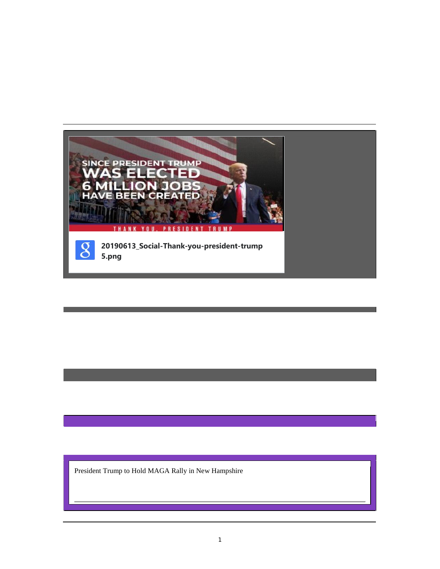

President Trump to Hold MAGA Rally in New Hampshire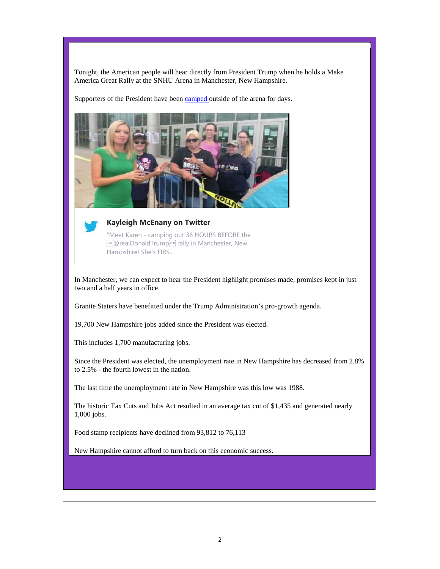Tonight, the American people will hear directly from President Trump when he holds a Make America Great Rally at the SNHU Arena in Manchester, New Hampshire.

Supporters of the President have been camped outside of the arena for days.





#### **Kayleigh McEnany on Twitter**

"Meet Karen - camping out 36 HOURS BEFORE the [IR]@realDonaldTrump[PD] rally in Manchester, New Hampshire! She's FIRS...

In Manchester, we can expect to hear the President highlight promises made, promises kept in just two and a half years in office.

Granite Staters have benefitted under the Trump Administration's pro-growth agenda.

19,700 New Hampshire jobs added since the President was elected.

This includes 1,700 manufacturing jobs.

Since the President was elected, the unemployment rate in New Hampshire has decreased from 2.8% to 2.5% - the fourth lowest in the nation.

The last time the unemployment rate in New Hampshire was this low was 1988.

The historic Tax Cuts and Jobs Act resulted in an average tax cut of \$1,435 and generated nearly 1,000 jobs.

Food stamp recipients have declined from 93,812 to 76,113

New Hampshire cannot afford to turn back on this economic success.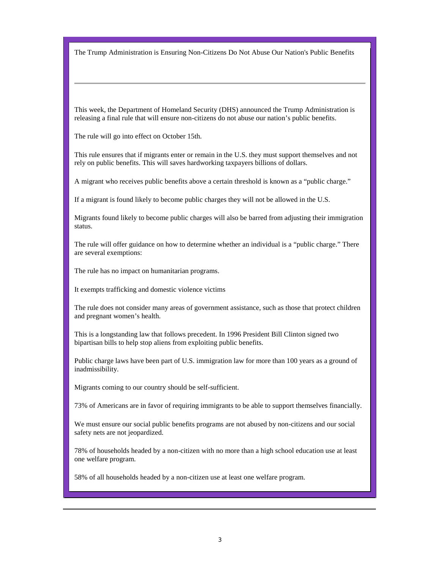The Trump Administration is Ensuring Non-Citizens Do Not Abuse Our Nation's Public Benefits

This week, the Department of Homeland Security (DHS) announced the Trump Administration is releasing a final rule that will ensure non-citizens do not abuse our nation's public benefits.

The rule will go into effect on October 15th.

This rule ensures that if migrants enter or remain in the U.S. they must support themselves and not rely on public benefits. This will saves hardworking taxpayers billions of dollars.

A migrant who receives public benefits above a certain threshold is known as a "public charge."

If a migrant is found likely to become public charges they will not be allowed in the U.S.

Migrants found likely to become public charges will also be barred from adjusting their immigration status.

The rule will offer guidance on how to determine whether an individual is a "public charge." There are several exemptions:

The rule has no impact on humanitarian programs.

It exempts trafficking and domestic violence victims

The rule does not consider many areas of government assistance, such as those that protect children and pregnant women's health.

This is a longstanding law that follows precedent. In 1996 President Bill Clinton signed two bipartisan bills to help stop aliens from exploiting public benefits.

Public charge laws have been part of U.S. immigration law for more than 100 years as a ground of inadmissibility.

Migrants coming to our country should be self-sufficient.

73% of Americans are in favor of requiring immigrants to be able to support themselves financially.

We must ensure our social public benefits programs are not abused by non-citizens and our social safety nets are not jeopardized.

78% of households headed by a non-citizen with no more than a high school education use at least one welfare program.

58% of all households headed by a non-citizen use at least one welfare program.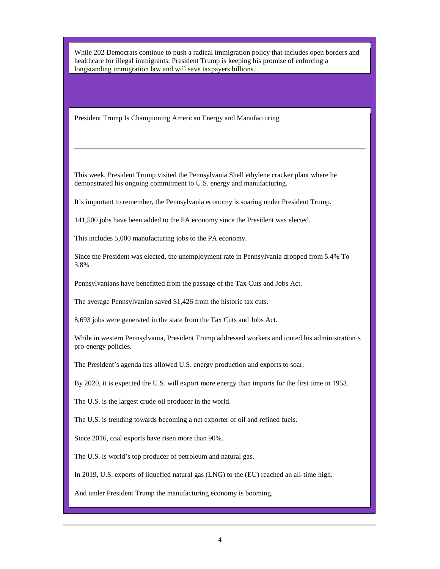While 202 Democrats continue to push a radical immigration policy that includes open borders and healthcare for illegal immigrants, President Trump is keeping his promise of enforcing a longstanding immigration law and will save taxpayers billions.

President Trump Is Championing American Energy and Manufacturing

This week, President Trump visited the Pennsylvania Shell ethylene cracker plant where he demonstrated his ongoing commitment to U.S. energy and manufacturing.

It's important to remember, the Pennsylvania economy is soaring under President Trump.

141,500 jobs have been added to the PA economy since the President was elected.

This includes 5,000 manufacturing jobs to the PA economy.

Since the President was elected, the unemployment rate in Pennsylvania dropped from 5.4% To 3.8%

Pennsylvanians have benefitted from the passage of the Tax Cuts and Jobs Act.

The average Pennsylvanian saved \$1,426 from the historic tax cuts.

8,693 jobs were generated in the state from the Tax Cuts and Jobs Act.

While in western Pennsylvania, President Trump addressed workers and touted his administration's pro-energy policies.

The President's agenda has allowed U.S. energy production and exports to soar.

By 2020, it is expected the U.S. will export more energy than imports for the first time in 1953.

The U.S. is the largest crude oil producer in the world.

The U.S. is trending towards becoming a net exporter of oil and refined fuels.

Since 2016, coal exports have risen more than 90%.

The U.S. is world's top producer of petroleum and natural gas.

In 2019, U.S. exports of liquefied natural gas (LNG) to the (EU) reached an all-time high.

And under President Trump the manufacturing economy is booming.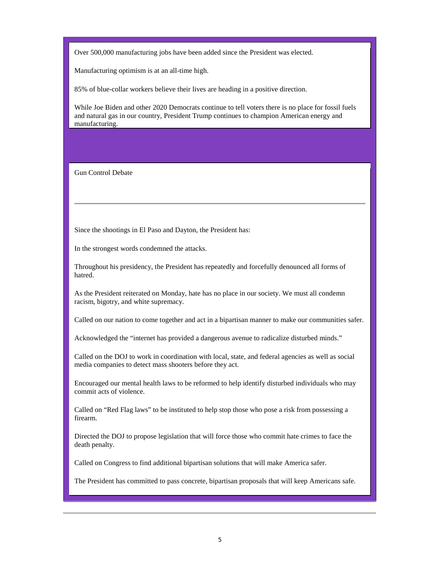Over 500,000 manufacturing jobs have been added since the President was elected.

Manufacturing optimism is at an all-time high.

85% of blue-collar workers believe their lives are heading in a positive direction.

While Joe Biden and other 2020 Democrats continue to tell voters there is no place for fossil fuels and natural gas in our country, President Trump continues to champion American energy and manufacturing.

Gun Control Debate

Since the shootings in El Paso and Dayton, the President has:

In the strongest words condemned the attacks.

Throughout his presidency, the President has repeatedly and forcefully denounced all forms of hatred.

As the President reiterated on Monday, hate has no place in our society. We must all condemn racism, bigotry, and white supremacy.

Called on our nation to come together and act in a bipartisan manner to make our communities safer.

Acknowledged the "internet has provided a dangerous avenue to radicalize disturbed minds."

Called on the DOJ to work in coordination with local, state, and federal agencies as well as social media companies to detect mass shooters before they act.

Encouraged our mental health laws to be reformed to help identify disturbed individuals who may commit acts of violence.

Called on "Red Flag laws" to be instituted to help stop those who pose a risk from possessing a firearm.

Directed the DOJ to propose legislation that will force those who commit hate crimes to face the death penalty.

Called on Congress to find additional bipartisan solutions that will make America safer.

The President has committed to pass concrete, bipartisan proposals that will keep Americans safe.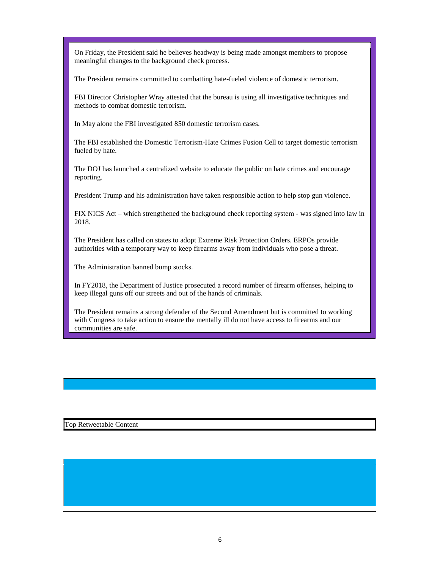On Friday, the President said he believes headway is being made amongst members to propose meaningful changes to the background check process.

The President remains committed to combatting hate-fueled violence of domestic terrorism.

FBI Director Christopher Wray attested that the bureau is using all investigative techniques and methods to combat domestic terrorism.

In May alone the FBI investigated 850 domestic terrorism cases.

The FBI established the Domestic Terrorism-Hate Crimes Fusion Cell to target domestic terrorism fueled by hate.

The DOJ has launched a centralized website to educate the public on hate crimes and encourage reporting.

President Trump and his administration have taken responsible action to help stop gun violence.

FIX NICS Act – which strengthened the background check reporting system - was signed into law in 2018.

The President has called on states to adopt Extreme Risk Protection Orders. ERPOs provide authorities with a temporary way to keep firearms away from individuals who pose a threat.

The Administration banned bump stocks.

In FY2018, the Department of Justice prosecuted a record number of firearm offenses, helping to keep illegal guns off our streets and out of the hands of criminals.

The President remains a strong defender of the Second Amendment but is committed to working with Congress to take action to ensure the mentally ill do not have access to firearms and our communities are safe.

Top Retweetable Content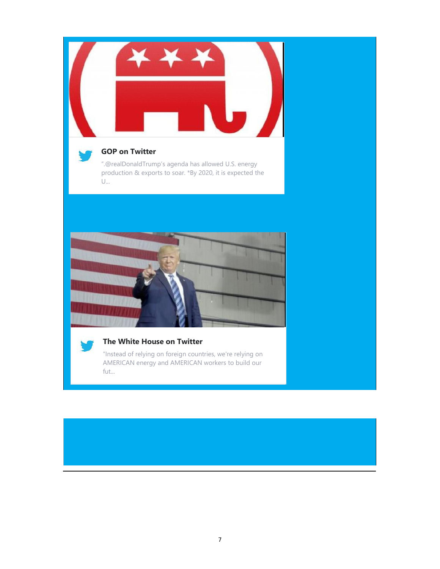



# **GOP on Twitter**

".@realDonaldTrump's agenda has allowed U.S. energy production & exports to soar. \*By 2020, it is expected the U...





# **The White House on Twitter**

"Instead of relying on foreign countries, we're relying on AMERICAN energy and AMERICAN workers to build our fut...

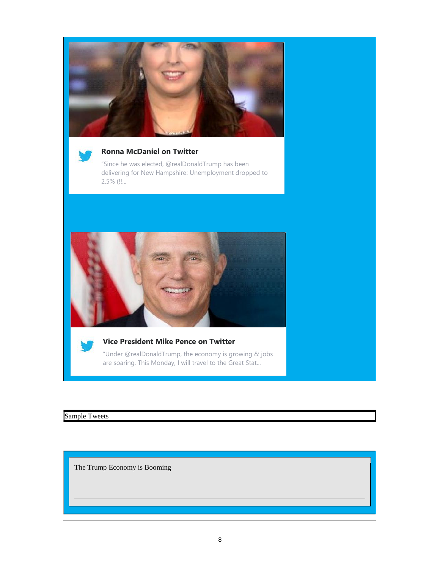



### **Ronna McDaniel on Twitter**

"Since he was elected, @realDonaldTrump has been delivering for New Hampshire: Unemployment dropped to 2.5% (!!...





#### **Vice President Mike Pence on Twitter**

"Under @realDonaldTrump, the economy is growing & jobs are soaring. This Monday, I will travel to the Great Stat...

Sample Tweets

The Trump Economy is Booming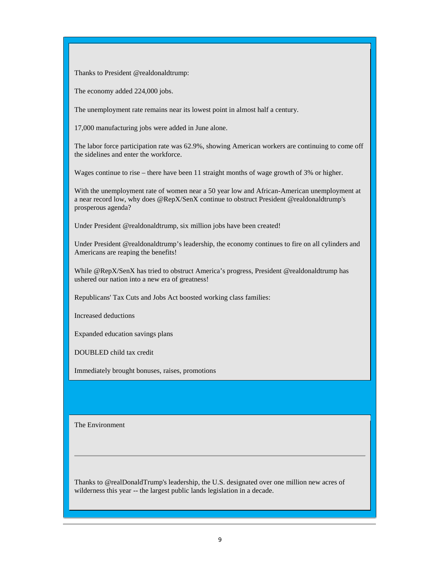Thanks to President @realdonaldtrump:

The economy added 224,000 jobs.

The unemployment rate remains near its lowest point in almost half a century.

17,000 manufacturing jobs were added in June alone.

The labor force participation rate was 62.9%, showing American workers are continuing to come off the sidelines and enter the workforce.

Wages continue to rise – there have been 11 straight months of wage growth of 3% or higher.

With the unemployment rate of women near a 50 year low and African-American unemployment at a near record low, why does @RepX/SenX continue to obstruct President @realdonaldtrump's prosperous agenda?

Under President @realdonaldtrump, six million jobs have been created!

Under President @realdonaldtrump's leadership, the economy continues to fire on all cylinders and Americans are reaping the benefits!

While @RepX/SenX has tried to obstruct America's progress, President @realdonaldtrump has ushered our nation into a new era of greatness!

Republicans' Tax Cuts and Jobs Act boosted working class families:

Increased deductions

Expanded education savings plans

DOUBLED child tax credit

Immediately brought bonuses, raises, promotions

The Environment

Thanks to @realDonaldTrump's leadership, the U.S. designated over one million new acres of wilderness this year -- the largest public lands legislation in a decade.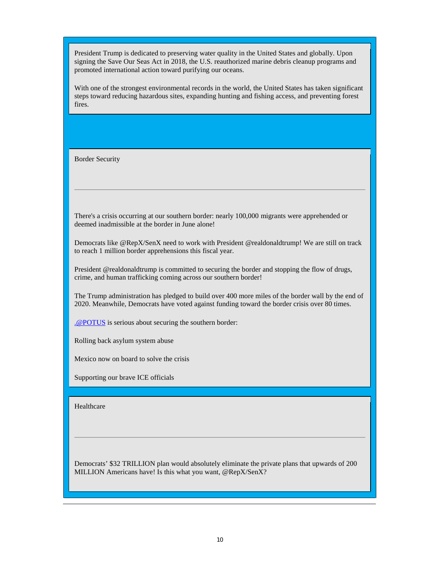President Trump is dedicated to preserving water quality in the United States and globally. Upon signing the Save Our Seas Act in 2018, the U.S. reauthorized marine debris cleanup programs and promoted international action toward purifying our oceans.

With one of the strongest environmental records in the world, the United States has taken significant steps toward reducing hazardous sites, expanding hunting and fishing access, and preventing forest fires.

Border Security

There's a crisis occurring at our southern border: nearly 100,000 migrants were apprehended or deemed inadmissible at the border in June alone!

Democrats like @RepX/SenX need to work with President @realdonaldtrump! We are still on track to reach 1 million border apprehensions this fiscal year.

President @realdonaldtrump is committed to securing the border and stopping the flow of drugs, crime, and human trafficking coming across our southern border!

The Trump administration has pledged to build over 400 more miles of the border wall by the end of 2020. Meanwhile, Democrats have voted against funding toward the border crisis over 80 times.

.@POTUS is serious about securing the southern border:

Rolling back asylum system abuse

Mexico now on board to solve the crisis

Supporting our brave ICE officials

Healthcare

Democrats' \$32 TRILLION plan would absolutely eliminate the private plans that upwards of 200 MILLION Americans have! Is this what you want, @RepX/SenX?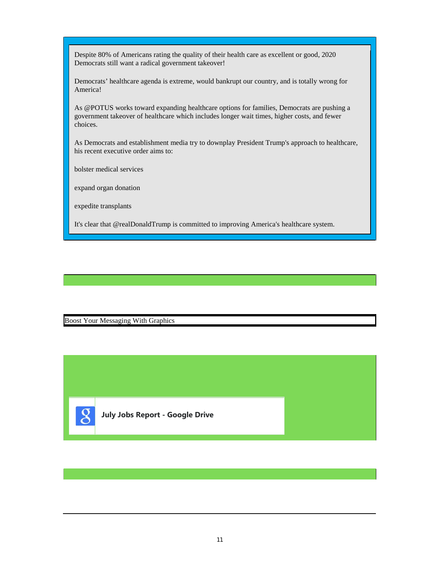Despite 80% of Americans rating the quality of their health care as excellent or good, 2020 Democrats still want a radical government takeover!

Democrats' healthcare agenda is extreme, would bankrupt our country, and is totally wrong for America!

As @POTUS works toward expanding healthcare options for families, Democrats are pushing a government takeover of healthcare which includes longer wait times, higher costs, and fewer choices.

As Democrats and establishment media try to downplay President Trump's approach to healthcare, his recent executive order aims to:

bolster medical services

expand organ donation

expedite transplants

It's clear that @realDonaldTrump is committed to improving America's healthcare system.

Boost Your Messaging With Graphics

**July Jobs Report - Google Drive**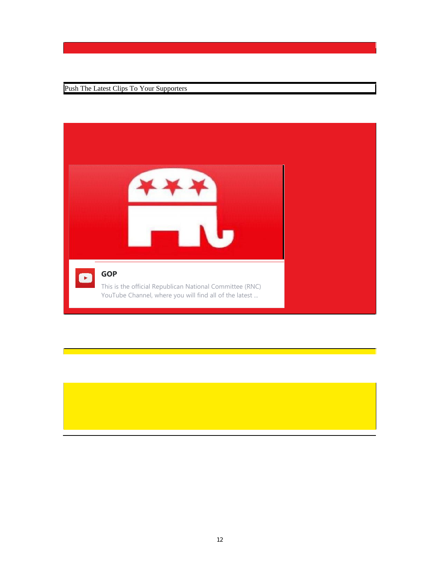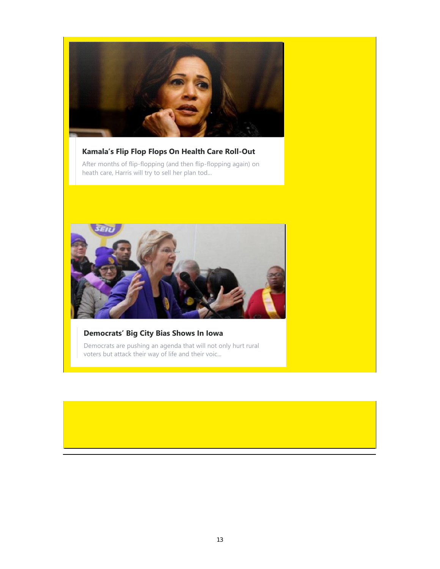

# **Kamala's Flip Flop Flops On Health Care Roll-Out**

After months of flip-flopping (and then flip-flopping again) on heath care, Harris will try to sell her plan tod...



## **Democrats' Big City Bias Shows In Iowa**

Democrats are pushing an agenda that will not only hurt rural voters but attack their way of life and their voic...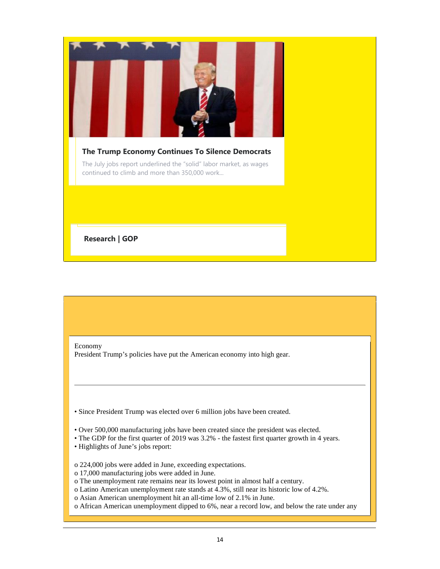

Economy

President Trump's policies have put the American economy into high gear.

• Since President Trump was elected over 6 million jobs have been created.

- Over 500,000 manufacturing jobs have been created since the president was elected.
- The GDP for the first quarter of 2019 was 3.2% the fastest first quarter growth in 4 years.
- Highlights of June's jobs report:
- o 224,000 jobs were added in June, exceeding expectations.
- o 17,000 manufacturing jobs were added in June.
- o The unemployment rate remains near its lowest point in almost half a century.
- o Latino American unemployment rate stands at 4.3%, still near its historic low of 4.2%.
- o Asian American unemployment hit an all-time low of 2.1% in June.
- o African American unemployment dipped to 6%, near a record low, and below the rate under any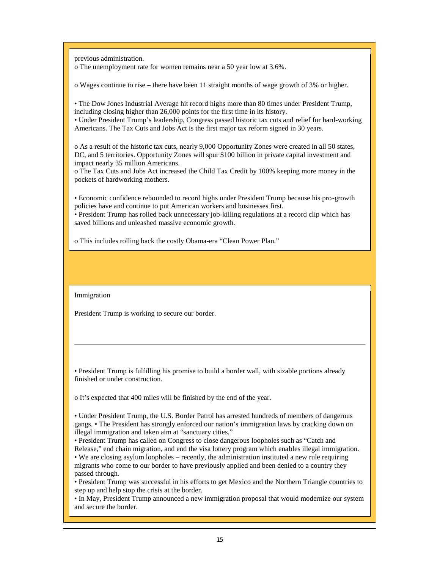previous administration.

o The unemployment rate for women remains near a 50 year low at 3.6%.

o Wages continue to rise – there have been 11 straight months of wage growth of 3% or higher.

• The Dow Jones Industrial Average hit record highs more than 80 times under President Trump, including closing higher than 26,000 points for the first time in its history.

• Under President Trump's leadership, Congress passed historic tax cuts and relief for hard-working Americans. The Tax Cuts and Jobs Act is the first major tax reform signed in 30 years.

o As a result of the historic tax cuts, nearly 9,000 Opportunity Zones were created in all 50 states, DC, and 5 territories. Opportunity Zones will spur \$100 billion in private capital investment and impact nearly 35 million Americans.

o The Tax Cuts and Jobs Act increased the Child Tax Credit by 100% keeping more money in the pockets of hardworking mothers.

• Economic confidence rebounded to record highs under President Trump because his pro-growth policies have and continue to put American workers and businesses first.

• President Trump has rolled back unnecessary job-killing regulations at a record clip which has saved billions and unleashed massive economic growth.

o This includes rolling back the costly Obama-era "Clean Power Plan."

Immigration

President Trump is working to secure our border.

• President Trump is fulfilling his promise to build a border wall, with sizable portions already finished or under construction.

o It's expected that 400 miles will be finished by the end of the year.

• Under President Trump, the U.S. Border Patrol has arrested hundreds of members of dangerous gangs. • The President has strongly enforced our nation's immigration laws by cracking down on illegal immigration and taken aim at "sanctuary cities."

• President Trump has called on Congress to close dangerous loopholes such as "Catch and

Release," end chain migration, and end the visa lottery program which enables illegal immigration. • We are closing asylum loopholes – recently, the administration instituted a new rule requiring migrants who come to our border to have previously applied and been denied to a country they passed through.

• President Trump was successful in his efforts to get Mexico and the Northern Triangle countries to step up and help stop the crisis at the border.

• In May, President Trump announced a new immigration proposal that would modernize our system and secure the border.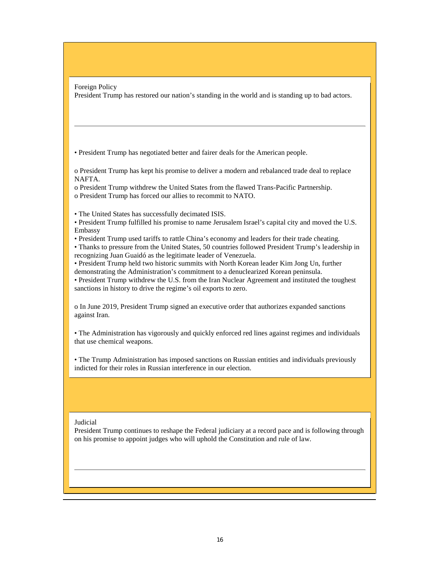Foreign Policy President Trump has restored our nation's standing in the world and is standing up to bad actors.

• President Trump has negotiated better and fairer deals for the American people.

o President Trump has kept his promise to deliver a modern and rebalanced trade deal to replace NAFTA.

o President Trump withdrew the United States from the flawed Trans-Pacific Partnership. o President Trump has forced our allies to recommit to NATO.

- The United States has successfully decimated ISIS.
- President Trump fulfilled his promise to name Jerusalem Israel's capital city and moved the U.S. Embassy
- President Trump used tariffs to rattle China's economy and leaders for their trade cheating.

• Thanks to pressure from the United States, 50 countries followed President Trump's leadership in recognizing Juan Guaidó as the legitimate leader of Venezuela.

• President Trump held two historic summits with North Korean leader Kim Jong Un, further demonstrating the Administration's commitment to a denuclearized Korean peninsula.

• President Trump withdrew the U.S. from the Iran Nuclear Agreement and instituted the toughest sanctions in history to drive the regime's oil exports to zero.

o In June 2019, President Trump signed an executive order that authorizes expanded sanctions against Iran.

• The Administration has vigorously and quickly enforced red lines against regimes and individuals that use chemical weapons.

• The Trump Administration has imposed sanctions on Russian entities and individuals previously indicted for their roles in Russian interference in our election.

#### Judicial

President Trump continues to reshape the Federal judiciary at a record pace and is following through on his promise to appoint judges who will uphold the Constitution and rule of law.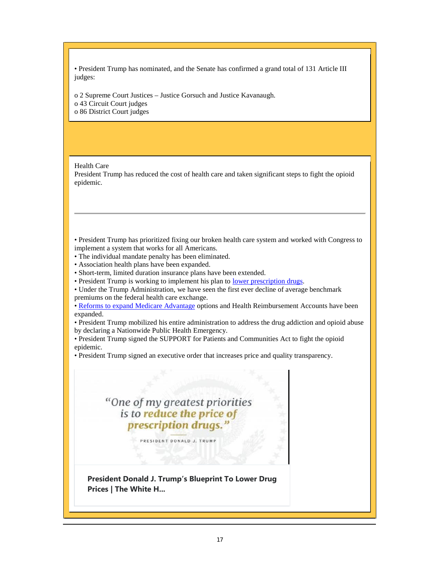• President Trump has nominated, and the Senate has confirmed a grand total of 131 Article III judges:

o 2 Supreme Court Justices – Justice Gorsuch and Justice Kavanaugh. o 43 Circuit Court judges

o 86 District Court judges

Health Care

President Trump has reduced the cost of health care and taken significant steps to fight the opioid epidemic.

• President Trump has prioritized fixing our broken health care system and worked with Congress to implement a system that works for all Americans.

- The individual mandate penalty has been eliminated.
- Association health plans have been expanded.
- Short-term, limited duration insurance plans have been extended.
- President Trump is working to implement his plan to lower prescription drugs.

• Under the Trump Administration, we have seen the first ever decline of average benchmark premiums on the federal health care exchange.

• Reforms to expand Medicare Advantage options and Health Reimbursement Accounts have been expanded.

• President Trump mobilized his entire administration to address the drug addiction and opioid abuse by declaring a Nationwide Public Health Emergency.

• President Trump signed the SUPPORT for Patients and Communities Act to fight the opioid epidemic.

• President Trump signed an executive order that increases price and quality transparency.

# "One of my greatest priorities is to reduce the price of prescription drugs."

PRESIDENT DONALD J. TRUMP

**President Donald J. Trump's Blueprint To Lower Drug Prices | The White H...**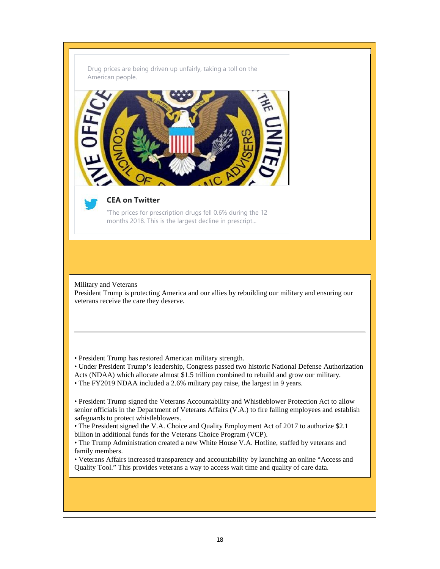



#### **CEA on Twitter**

"The prices for prescription drugs fell 0.6% during the 12 months 2018. This is the largest decline in prescript...

Military and Veterans President Trump is protecting America and our allies by rebuilding our military and ensuring our veterans receive the care they deserve.

• President Trump has restored American military strength.

• Under President Trump's leadership, Congress passed two historic National Defense Authorization Acts (NDAA) which allocate almost \$1.5 trillion combined to rebuild and grow our military.

• The FY2019 NDAA included a 2.6% military pay raise, the largest in 9 years.

• President Trump signed the Veterans Accountability and Whistleblower Protection Act to allow senior officials in the Department of Veterans Affairs (V.A.) to fire failing employees and establish safeguards to protect whistleblowers.

• The President signed the V.A. Choice and Quality Employment Act of 2017 to authorize \$2.1 billion in additional funds for the Veterans Choice Program (VCP).

• The Trump Administration created a new White House V.A. Hotline, staffed by veterans and family members.

• Veterans Affairs increased transparency and accountability by launching an online "Access and Quality Tool." This provides veterans a way to access wait time and quality of care data.